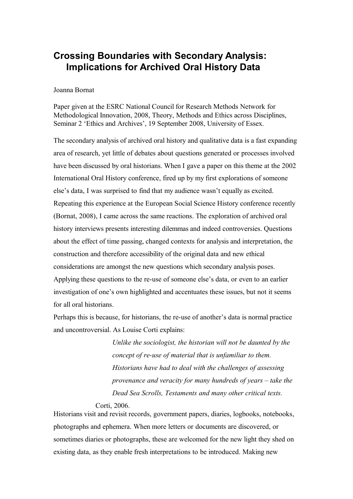# **Crossing Boundaries with Secondary Analysis: Implications for Archived Oral History Data**

## Joanna Bornat

Paper given at the ESRC National Council for Research Methods Network for Methodological Innovation, 2008, Theory, Methods and Ethics across Disciplines, Seminar 2 'Ethics and Archives', 19 September 2008, University of Essex.

The secondary analysis of archived oral history and qualitative data is a fast expanding area of research, yet little of debates about questions generated or processes involved have been discussed by oral historians. When I gave a paper on this theme at the 2002 International Oral History conference, fired up by my first explorations of someone else's data, I was surprised to find that my audience wasn't equally as excited. Repeating this experience at the European Social Science History conference recently (Bornat, 2008), I came across the same reactions. The exploration of archived oral history interviews presents interesting dilemmas and indeed controversies. Questions about the effect of time passing, changed contexts for analysis and interpretation, the construction and therefore accessibility of the original data and new ethical considerations are amongst the new questions which secondary analysis poses. Applying these questions to the re-use of someone else's data, or even to an earlier investigation of one's own highlighted and accentuates these issues, but not it seems for all oral historians.

Perhaps this is because, for historians, the re-use of another's data is normal practice and uncontroversial. As Louise Corti explains:

> *Unlike the sociologist, the historian will not be daunted by the concept of re-use of material that is unfamiliar to them. Historians have had to deal with the challenges of assessing provenance and veracity for many hundreds of years – take the Dead Sea Scrolls, Testaments and many other critical texts.*

# Corti, 2006.

Historians visit and revisit records, government papers, diaries, logbooks, notebooks, photographs and ephemera. When more letters or documents are discovered, or sometimes diaries or photographs, these are welcomed for the new light they shed on existing data, as they enable fresh interpretations to be introduced. Making new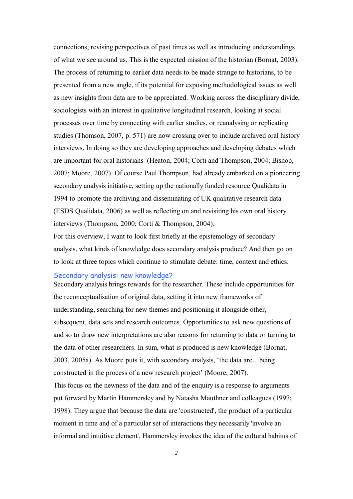connections, revising perspectives of past times as well as introducing understandings of what we see around us. This is the expected mission of the historian (Bornat, 2003). The process of returning to earlier data needs to be made strange to historians, to be presented from a new angle, if its potential for exposing methodological issues as well as new insights from data are to be appreciated. Working across the disciplinary divide, sociologists with an interest in qualitative longitudinal research, looking at social processes over time by connecting with earlier studies, or reanalysing or replicating studies (Thomson, 2007, p. 571) are now crossing over to include archived oral history interviews. In doing so they are developing approaches and developing debates which are important for oral historians (Heaton, 2004; Corti and Thompson, 2004; Bishop, 2007; Moore, 2007). Of course Paul Thompson, had already embarked on a pioneering secondary analysis initiative, setting up the nationally funded resource Qualidata in 1994 to promote the archiving and disseminating of UK qualitative research data (ESDS Qualidata, 2006) as well as reflecting on and revisiting his own oral history interviews (Thompson, 2000; Corti & Thompson, 2004).

For this overview, I want to look first briefly at the epistemology of secondary analysis, what kinds of knowledge does secondary analysis produce? And then go on to look at three topics which continue to stimulate debate: time, context and ethics.

### Secondary analysis: new knowledge?

Secondary analysis brings rewards for the researcher. These include opportunities for the reconceptualisation of original data, setting it into new frameworks of understanding, searching for new themes and positioning it alongside other, subsequent, data sets and research outcomes. Opportunities to ask new questions of and so to draw new interpretations are also reasons for returning to data or turning to the data of other researchers. In sum, what is produced is new knowledge (Bornat, 2003, 2005a). As Moore puts it, with secondary analysis, 'the data are…being constructed in the process of a new research project' (Moore, 2007).

This focus on the newness of the data and of the enquiry is a response to arguments put forward by Martin Hammersley and by Natasha Mauthner and colleagues (1997; 1998). They argue that because the data are 'constructed', the product of a particular moment in time and of a particular set of interactions they necessarily 'involve an informal and intuitive element'. Hammersley invokes the idea of the cultural habitus of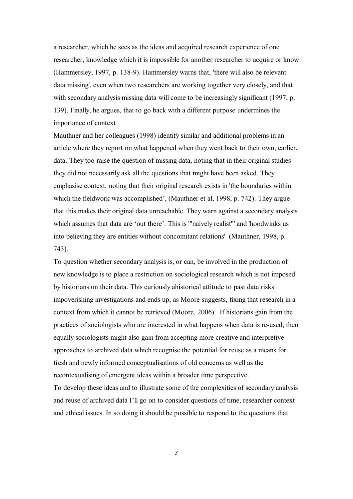a researcher, which he sees as the ideas and acquired research experience of one researcher, knowledge which it is impossible for another researcher to acquire or know (Hammersley, 1997, p. 138-9). Hammersley warns that, 'there will also be relevant data missing', even when two researchers are working together very closely, and that with secondary analysis missing data will come to be increasingly significant (1997, p. 139). Finally, he argues, that to go back with a different purpose undermines the importance of context

Mauthner and her colleagues (1998) identify similar and additional problems in an article where they report on what happened when they went back to their own, earlier, data. They too raise the question of missing data, noting that in their original studies they did not necessarily ask all the questions that might have been asked. They emphasise context, noting that their original research exists in 'the boundaries within which the fieldwork was accomplished', (Mauthner et al, 1998, p. 742). They argue that this makes their original data unreachable. They warn against a secondary analysis which assumes that data are 'out there'. This is '"naively realist"' and 'hoodwinks us into believing they are entities without concomitant relations' (Mauthner, 1998, p. 743).

To question whether secondary analysis is, or can, be involved in the production of new knowledge is to place a restriction on sociological research which is not imposed by historians on their data. This curiously ahistorical attitude to past data risks impoverishing investigations and ends up, as Moore suggests, fixing that research in a context from which it cannot be retrieved (Moore, 2006). If historians gain from the practices of sociologists who are interested in what happens when data is re-used, then equally sociologists might also gain from accepting more creative and interpretive approaches to archived data which recognise the potential for reuse as a means for fresh and newly informed conceptualisations of old concerns as well as the recontexualising of emergent ideas within a broader time perspective.

To develop these ideas and to illustrate some of the complexities of secondary analysis and reuse of archived data I'll go on to consider questions of time, researcher context and ethical issues. In so doing it should be possible to respond to the questions that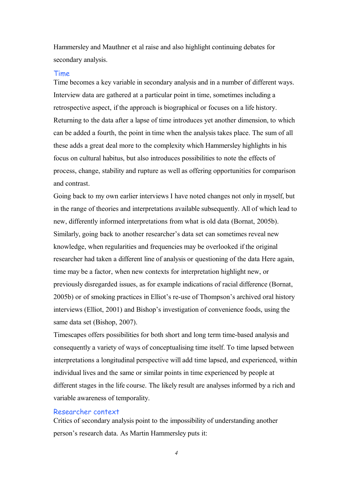Hammersley and Mauthner et al raise and also highlight continuing debates for secondary analysis.

#### Time

Time becomes a key variable in secondary analysis and in a number of different ways. Interview data are gathered at a particular point in time, sometimes including a retrospective aspect, if the approach is biographical or focuses on a life history. Returning to the data after a lapse of time introduces yet another dimension, to which can be added a fourth, the point in time when the analysis takes place. The sum of all these adds a great deal more to the complexity which Hammersley highlights in his focus on cultural habitus, but also introduces possibilities to note the effects of process, change, stability and rupture as well as offering opportunities for comparison and contrast.

Going back to my own earlier interviews I have noted changes not only in myself, but in the range of theories and interpretations available subsequently. All of which lead to new, differently informed interpretations from what is old data (Bornat, 2005b). Similarly, going back to another researcher's data set can sometimes reveal new knowledge, when regularities and frequencies may be overlooked if the original researcher had taken a different line of analysis or questioning of the data Here again, time may be a factor, when new contexts for interpretation highlight new, or previously disregarded issues, as for example indications of racial difference (Bornat, 2005b) or of smoking practices in Elliot's re-use of Thompson's archived oral history interviews (Elliot, 2001) and Bishop's investigation of convenience foods, using the same data set (Bishop, 2007).

Timescapes offers possibilities for both short and long term time-based analysis and consequently a variety of ways of conceptualising time itself. To time lapsed between interpretations a longitudinal perspective will add time lapsed, and experienced, within individual lives and the same or similar points in time experienced by people at different stages in the life course. The likely result are analyses informed by a rich and variable awareness of temporality.

# Researcher context

Critics of secondary analysis point to the impossibility of understanding another person's research data. As Martin Hammersley puts it: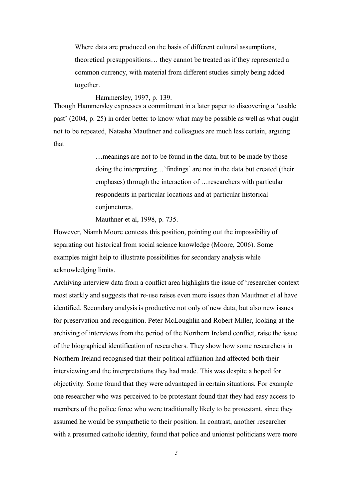Where data are produced on the basis of different cultural assumptions, theoretical presuppositions… they cannot be treated as if they represented a common currency, with material from different studies simply being added together.

Hammersley, 1997, p. 139.

Though Hammersley expresses a commitment in a later paper to discovering a 'usable past' (2004, p. 25) in order better to know what may be possible as well as what ought not to be repeated, Natasha Mauthner and colleagues are much less certain, arguing that

> …meanings are not to be found in the data, but to be made by those doing the interpreting…'findings' are not in the data but created (their emphases) through the interaction of …researchers with particular respondents in particular locations and at particular historical conjunctures.

Mauthner et al, 1998, p. 735.

However, Niamh Moore contests this position, pointing out the impossibility of separating out historical from social science knowledge (Moore, 2006). Some examples might help to illustrate possibilities for secondary analysis while acknowledging limits.

Archiving interview data from a conflict area highlights the issue of 'researcher context most starkly and suggests that re-use raises even more issues than Mauthner et al have identified. Secondary analysis is productive not only of new data, but also new issues for preservation and recognition. Peter McLoughlin and Robert Miller, looking at the archiving of interviews from the period of the Northern Ireland conflict, raise the issue of the biographical identification of researchers. They show how some researchers in Northern Ireland recognised that their political affiliation had affected both their interviewing and the interpretations they had made. This was despite a hoped for objectivity. Some found that they were advantaged in certain situations. For example one researcher who was perceived to be protestant found that they had easy access to members of the police force who were traditionally likely to be protestant, since they assumed he would be sympathetic to their position. In contrast, another researcher with a presumed catholic identity, found that police and unionist politicians were more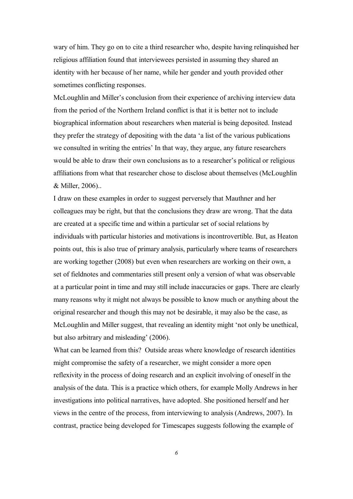wary of him. They go on to cite a third researcher who, despite having relinquished her religious affiliation found that interviewees persisted in assuming they shared an identity with her because of her name, while her gender and youth provided other sometimes conflicting responses.

McLoughlin and Miller's conclusion from their experience of archiving interview data from the period of the Northern Ireland conflict is that it is better not to include biographical information about researchers when material is being deposited. Instead they prefer the strategy of depositing with the data 'a list of the various publications we consulted in writing the entries' In that way, they argue, any future researchers would be able to draw their own conclusions as to a researcher's political or religious affiliations from what that researcher chose to disclose about themselves (McLoughlin & Miller, 2006)..

I draw on these examples in order to suggest perversely that Mauthner and her colleagues may be right, but that the conclusions they draw are wrong. That the data are created at a specific time and within a particular set of social relations by individuals with particular histories and motivations is incontrovertible. But, as Heaton points out, this is also true of primary analysis, particularly where teams of researchers are working together (2008) but even when researchers are working on their own, a set of fieldnotes and commentaries still present only a version of what was observable at a particular point in time and may still include inaccuracies or gaps. There are clearly many reasons why it might not always be possible to know much or anything about the original researcher and though this may not be desirable, it may also be the case, as McLoughlin and Miller suggest, that revealing an identity might 'not only be unethical, but also arbitrary and misleading' (2006).

What can be learned from this? Outside areas where knowledge of research identities might compromise the safety of a researcher, we might consider a more open reflexivity in the process of doing research and an explicit involving of oneself in the analysis of the data. This is a practice which others, for example Molly Andrews in her investigations into political narratives, have adopted. She positioned herself and her views in the centre of the process, from interviewing to analysis (Andrews, 2007). In contrast, practice being developed for Timescapes suggests following the example of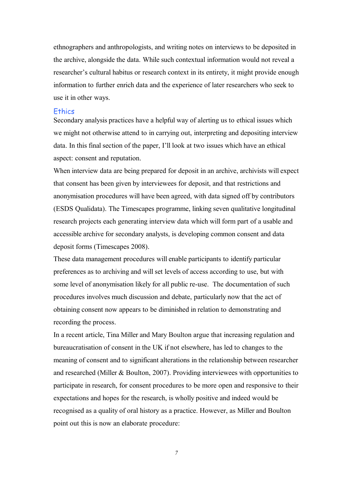ethnographers and anthropologists, and writing notes on interviews to be deposited in the archive, alongside the data. While such contextual information would not reveal a researcher's cultural habitus or research context in its entirety, it might provide enough information to further enrich data and the experience of later researchers who seek to use it in other ways.

#### **Ethics**

Secondary analysis practices have a helpful way of alerting us to ethical issues which we might not otherwise attend to in carrying out, interpreting and depositing interview data. In this final section of the paper, I'll look at two issues which have an ethical aspect: consent and reputation.

When interview data are being prepared for deposit in an archive, archivists will expect that consent has been given by interviewees for deposit, and that restrictions and anonymisation procedures will have been agreed, with data signed off by contributors (ESDS Qualidata). The Timescapes programme, linking seven qualitative longitudinal research projects each generating interview data which will form part of a usable and accessible archive for secondary analysts, is developing common consent and data deposit forms (Timescapes 2008).

These data management procedures will enable participants to identify particular preferences as to archiving and will set levels of access according to use, but with some level of anonymisation likely for all public re-use. The documentation of such procedures involves much discussion and debate, particularly now that the act of obtaining consent now appears to be diminished in relation to demonstrating and recording the process.

In a recent article, Tina Miller and Mary Boulton argue that increasing regulation and bureaucratisation of consent in the UK if not elsewhere, has led to changes to the meaning of consent and to significant alterations in the relationship between researcher and researched (Miller & Boulton, 2007). Providing interviewees with opportunities to participate in research, for consent procedures to be more open and responsive to their expectations and hopes for the research, is wholly positive and indeed would be recognised as a quality of oral history as a practice. However, as Miller and Boulton point out this is now an elaborate procedure: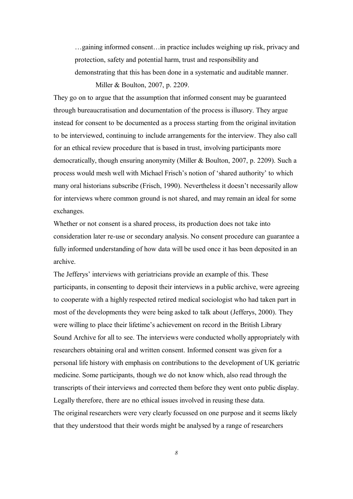…gaining informed consent…in practice includes weighing up risk, privacy and protection, safety and potential harm, trust and responsibility and demonstrating that this has been done in a systematic and auditable manner. Miller & Boulton, 2007, p. 2209.

They go on to argue that the assumption that informed consent may be guaranteed through bureaucratisation and documentation of the process is illusory. They argue instead for consent to be documented as a process starting from the original invitation to be interviewed, continuing to include arrangements for the interview. They also call for an ethical review procedure that is based in trust, involving participants more democratically, though ensuring anonymity (Miller & Boulton, 2007, p. 2209). Such a process would mesh well with Michael Frisch's notion of 'shared authority' to which many oral historians subscribe (Frisch, 1990). Nevertheless it doesn't necessarily allow for interviews where common ground is not shared, and may remain an ideal for some exchanges.

Whether or not consent is a shared process, its production does not take into consideration later re-use or secondary analysis. No consent procedure can guarantee a fully informed understanding of how data will be used once it has been deposited in an archive.

The Jefferys' interviews with geriatricians provide an example of this. These participants, in consenting to deposit their interviews in a public archive, were agreeing to cooperate with a highly respected retired medical sociologist who had taken part in most of the developments they were being asked to talk about (Jefferys, 2000). They were willing to place their lifetime's achievement on record in the British Library Sound Archive for all to see. The interviews were conducted wholly appropriately with researchers obtaining oral and written consent. Informed consent was given for a personal life history with emphasis on contributions to the development of UK geriatric medicine. Some participants, though we do not know which, also read through the transcripts of their interviews and corrected them before they went onto public display. Legally therefore, there are no ethical issues involved in reusing these data. The original researchers were very clearly focussed on one purpose and it seems likely that they understood that their words might be analysed by a range of researchers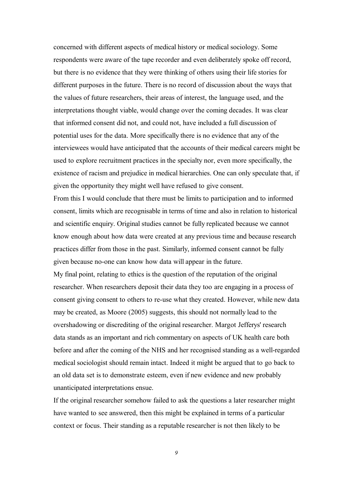concerned with different aspects of medical history or medical sociology. Some respondents were aware of the tape recorder and even deliberately spoke off record, but there is no evidence that they were thinking of others using their life stories for different purposes in the future. There is no record of discussion about the ways that the values of future researchers, their areas of interest, the language used, and the interpretations thought viable, would change over the coming decades. It was clear that informed consent did not, and could not, have included a full discussion of potential uses for the data. More specifically there is no evidence that any of the interviewees would have anticipated that the accounts of their medical careers might be used to explore recruitment practices in the specialty nor, even more specifically, the existence of racism and prejudice in medical hierarchies. One can only speculate that, if given the opportunity they might well have refused to give consent.

From this I would conclude that there must be limits to participation and to informed consent, limits which are recognisable in terms of time and also in relation to historical and scientific enquiry. Original studies cannot be fully replicated because we cannot know enough about how data were created at any previous time and because research practices differ from those in the past. Similarly, informed consent cannot be fully given because no-one can know how data will appear in the future.

My final point, relating to ethics is the question of the reputation of the original researcher. When researchers deposit their data they too are engaging in a process of consent giving consent to others to re-use what they created. However, while new data may be created, as Moore (2005) suggests, this should not normally lead to the overshadowing or discrediting of the original researcher. Margot Jefferys' research data stands as an important and rich commentary on aspects of UK health care both before and after the coming of the NHS and her recognised standing as a well-regarded medical sociologist should remain intact. Indeed it might be argued that to go back to an old data set is to demonstrate esteem, even if new evidence and new probably unanticipated interpretations ensue.

If the original researcher somehow failed to ask the questions a later researcher might have wanted to see answered, then this might be explained in terms of a particular context or focus. Their standing as a reputable researcher is not then likely to be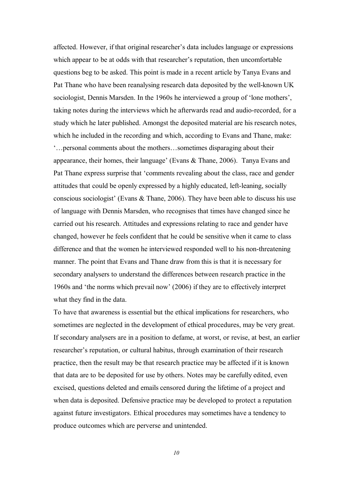affected. However, if that original researcher's data includes language or expressions which appear to be at odds with that researcher's reputation, then uncomfortable questions beg to be asked. This point is made in a recent article by Tanya Evans and Pat Thane who have been reanalysing research data deposited by the well-known UK sociologist, Dennis Marsden. In the 1960s he interviewed a group of 'lone mothers', taking notes during the interviews which he afterwards read and audio-recorded, for a study which he later published. Amongst the deposited material are his research notes, which he included in the recording and which, according to Evans and Thane, make: '…personal comments about the mothers…sometimes disparaging about their appearance, their homes, their language' (Evans & Thane, 2006). Tanya Evans and Pat Thane express surprise that 'comments revealing about the class, race and gender attitudes that could be openly expressed by a highly educated, left-leaning, socially conscious sociologist' (Evans & Thane, 2006). They have been able to discuss his use of language with Dennis Marsden, who recognises that times have changed since he carried out his research. Attitudes and expressions relating to race and gender have changed, however he feels confident that he could be sensitive when it came to class difference and that the women he interviewed responded well to his non-threatening manner. The point that Evans and Thane draw from this is that it is necessary for secondary analysers to understand the differences between research practice in the 1960s and 'the norms which prevail now' (2006) if they are to effectively interpret what they find in the data.

To have that awareness is essential but the ethical implications for researchers, who sometimes are neglected in the development of ethical procedures, may be very great. If secondary analysers are in a position to defame, at worst, or revise, at best, an earlier researcher's reputation, or cultural habitus, through examination of their research practice, then the result may be that research practice may be affected if it is known that data are to be deposited for use by others. Notes may be carefully edited, even excised, questions deleted and emails censored during the lifetime of a project and when data is deposited. Defensive practice may be developed to protect a reputation against future investigators. Ethical procedures may sometimes have a tendency to produce outcomes which are perverse and unintended.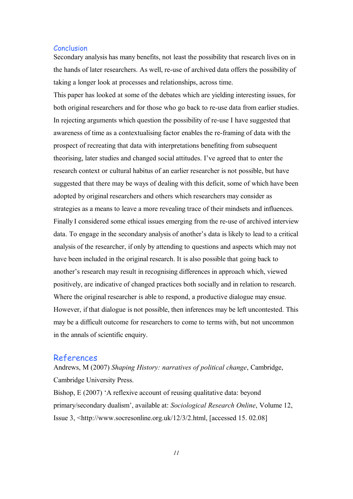## **Conclusion**

Secondary analysis has many benefits, not least the possibility that research lives on in the hands of later researchers. As well, re-use of archived data offers the possibility of taking a longer look at processes and relationships, across time.

This paper has looked at some of the debates which are yielding interesting issues, for both original researchers and for those who go back to re-use data from earlier studies. In rejecting arguments which question the possibility of re-use I have suggested that awareness of time as a contextualising factor enables the re-framing of data with the prospect of recreating that data with interpretations benefiting from subsequent theorising, later studies and changed social attitudes. I've agreed that to enter the research context or cultural habitus of an earlier researcher is not possible, but have suggested that there may be ways of dealing with this deficit, some of which have been adopted by original researchers and others which researchers may consider as strategies as a means to leave a more revealing trace of their mindsets and influences. Finally I considered some ethical issues emerging from the re-use of archived interview data. To engage in the secondary analysis of another's data is likely to lead to a critical analysis of the researcher, if only by attending to questions and aspects which may not have been included in the original research. It is also possible that going back to another's research may result in recognising differences in approach which, viewed positively, are indicative of changed practices both socially and in relation to research. Where the original researcher is able to respond, a productive dialogue may ensue. However, if that dialogue is not possible, then inferences may be left uncontested. This may be a difficult outcome for researchers to come to terms with, but not uncommon in the annals of scientific enquiry.

# References

Andrews, M (2007) *Shaping History: narratives of political change*, Cambridge, Cambridge University Press.

Bishop, E (2007) 'A reflexive account of reusing qualitative data: beyond primary/secondary dualism', available at: *Sociological Research Online*, Volume 12, Issue 3, <http://www.socresonline.org.uk/12/3/2.html, [accessed 15. 02.08]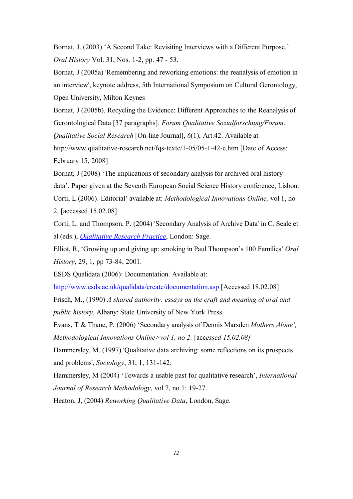Bornat, J. (2003) 'A Second Take: Revisiting Interviews with a Different Purpose.' *Oral History* Vol. 31, Nos. 1-2, pp. 47 - 53.

Bornat, J (2005a) 'Remembering and reworking emotions: the reanalysis of emotion in an interview', keynote address, 5th International Symposium on Cultural Gerontology, Open University, Milton Keynes

Bornat, J (2005b). Recycling the Evidence: Different Approaches to the Reanalysis of Gerontological Data [37 paragraphs]. *Forum Qualitative Sozialforschung/Forum: Qualitative Social Research* [On-line Journal], *6*(1), Art.42. Available at

http://www.qualitative-research.net/fqs-texte/1-05/05-1-42-e.htm [Date of Access: February 15, 2008]

Bornat, J (2008) 'The implications of secondary analysis for archived oral history data'. Paper given at the Seventh European Social Science History conference, Lisbon. Corti, L (2006). Editorial' available at: *Methodological Innovations Online,* vol 1, no 2. [accessed 15.02.08]

Corti, L. and Thompson, P. (2004) 'Secondary Analysis of Archive Data' in C. Seale et al (eds.), *[Qualitative Research Practice](http://www.sagepub.co.uk/book.aspx?pid=104452)*, London: Sage.

Elliot, R, 'Growing up and giving up: smoking in Paul Thompson's 100 Families' *Oral History*, 29, 1, pp 73-84, 2001.

ESDS Qualidata (2006): Documentation. Available at:

<http://www.esds.ac.uk/qualidata/create/documentation.asp>[Accessed 18.02.08]

Frisch, M., (1990) *A shared authority: essays on the craft and meaning of oral and public history*, Albany: State University of New York Press.

Evans, T & Thane, P, (2006) 'Secondary analysis of Dennis Marsden *Mothers Alone', Methodological Innovations Online>vol 1, no 2.* [accessed 15.02.08]

Hammersley, M. (1997) 'Qualitative data archiving: some reflections on its prospects and problems', *Sociology*, 31, 1, 131-142.

Hammersley, M (2004) 'Towards a usable past for qualitative research', *International Journal of Research Methodology*, vol 7, no 1: 19-27.

Heaton, J, (2004) *Reworking Qualitative Data*, London, Sage.